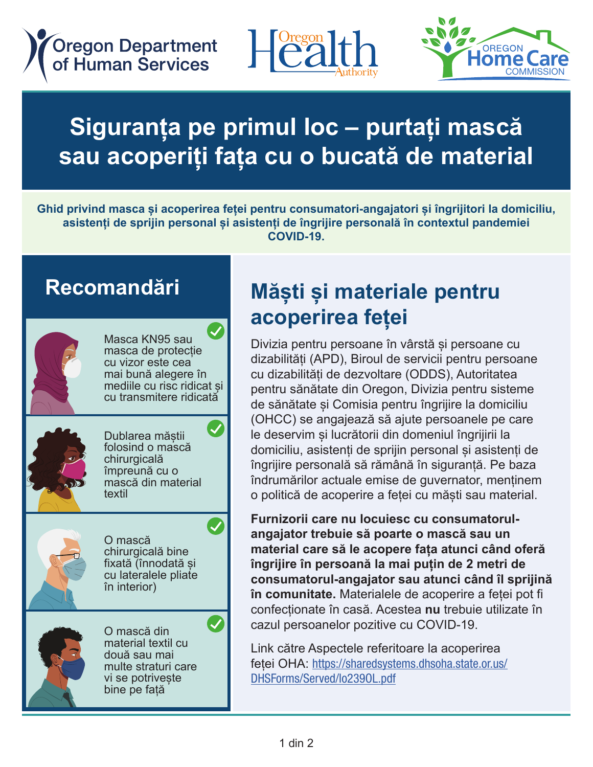**Oregon Department** of Human Services





COMMISSION

## Siguranța pe primul loc – purtați mască **sau acoperiți fața cu o bucată de material** Speriți fața cu o bucată de

Ghid privind masca și acoperirea feței pentru consumatori-angajatori și îngrijitori la domiciliu, asistenți de sprijin personal și asistenți de îngrijire personală în contextul pandemiei<br>Asistenți de sprijin personal și asistenți de îngrijire personală în contextul pandemiei **COVID-19.** homecare workers, personal support workers, and personal care attendants. And personal care attendants. The ca<br>In the care attendants workers, and personal care attendants workers, and personal care attendants. The care a homecare workers, personal support workers, personal support workers, and personal care attendants. The care a<br>The care attendants workers, and personal care attendants. The care attendants workers, and personal care atte asistenți de sprijin personal și asistenți de îngrijire personală în contextul pandemiei<br>COVID-19.

# Recomandări



Masca KN95 sau masca KN95 sau<br>masca de protecție<br>cu vizor este cea masca ac protecție<br>cu vizor este cea<br>mai bună alegere în mai bună alegere în mai buna alegere în<br>mediile cu risc ridicat și<br>ou transmitere ridioată medille cu risc nuicat și<br>cu transmitere ridicată KN95 or respirator

KN95 or respirator

KN95 or respirator



Dublarea măștii<br>felocind e masceă Publarea maștii<br>folosind o mască<br>chirurgicală reference e massa<br>
chirurgicală chirurgicaia<br>
împreună cu o mipredita cu o<br>mască din material<br>textil masca din m<br>textil Dublarea măștii

Double masking



O mască U masca<br>
chirurgicală bine<br>
fixetă (înpedetă e fixată (înnodată și surgical mask surgical mask nxata (infibuata en<br>
cu lateralele pliate<br>
în interior)  $\int$  interior)  $\int$ 



O mască din U masca um<br>material textil cu<br>două sau mai material textii ca<br>două sau mai două sau mai<br>multe straturi care mulle straturi care<br>vi se potrivește<br>bino no fotă vi se politvește<br>bine pe față  $\frac{1}{2}$ 

good fit

#### **Măști și materiale pentru** acoperirea feței acoperirea feței Măști și materiale pentru

Divizia pentru persoane în vârstă și persoane cu Bivizia pentru persoane în varsta și persoane cu<br>dizabilități (APD), Biroul de servicii pentru persoane dizabilități de dezvoltare (ODDS), Autoritatea cu dizabilități de dezvoltare (ODDO), Adtoniatea<br>pentru sănătate din Oregon, Divizia pentru sisteme pentru sanatate din Oregon, Divizia pentru sisteme<br>de sănătate și Comisia pentru îngrijire la domiciliu<br>(OHCC) se angeiesză eă giute persoanele ne este de sanatate și comista pentru ingrijire la domisita<br>(OHCC) se angajează să ajute persoanele pe care (orloo) se angajează să ajute persoanele pe care<br>le deservim și lucrătorii din domeniul îngrijirii la domiciliu, asistenți de sprijin personal și asistenți de a manieria, asistenți de sprijin personar și asistenți de îngrijire personală să rămână în siguranță. Pe baza nigrijire personala sa ramana în siguranța. Pe baza<br>
îndrumărilor actuale emise de guvernator, menținem<br>
o politieă de aceperire a fetej au măsti seu material o politică de acoperire a feței cu măști sau material.  $\overline{\phantom{a}}$  Division pontru percesso în vâretă ei percesso sul ODD **Systems Code Authority, Health Authority, Health Authority, Health Systems Code Authority, Health Systems Code Authority, Health Systems Code Authority, Health Systems Code Authority, Health Systems Code Authority, He** Divizia pentru persoane in varsta și persoane cu<br>dizabilități (APD), Biroul de servicii pentru persoane<br>eu dizobilități de dezveltere (OPDS), Autoritatea le deservim și lucrătorii din domeniul îngrijirii la de sănătate și Comisia pentru îngrijire la domiciliu (OHCC) se angajeaza sa ajule persoanele pe care<br>Le deservim si lucrătorii din domeniul îngriiirii la

**Furnizorii care nu locuiesc cu consumatorul-**Furnizorii care nu locuiesc cu consumatorul-<br>angajator trebuie să poarte o mască sau un angajator trebale sa poarte o masea saa any inmaterial care sa le acopere rața atunci cand ofe<br> **îngrijire în persoană la mai puțin de 2 metri de**<br> **persumaterul angaiater seu atunei când îl enrii** right of the personal tall that pagent as a mean as consumatorul-angajator sau atunci când îl sprijină **in comunitate.** Materialele de acoperire a feței pot fi momentum materiale de desperire droger per in<br>confecționate în casă. Acestea **nu** trebuie utilizate în cazul persoanelor pozitive cu COVID-19. consumatorui-angajator sau atunci canu n<br>
în comunitate. Materialele de acoperire a feț Furnizorii care nu locuiesc cu consumatorulcomments when the correct covering concentration. cazul persoanelor pozitive cu êmprijire în persoană la mai puțin de 2 metri de

Link către Aspectele referitoare la acoperirea Einik cation repocted Forential on a acoportical<br>feței OHA: https://sharedsystems.dhsoha.state.or.us/ DHSForms/Served/lo2390L.pdf sharedsystems.dhsoha.state.or.us/DHSForms/ sharedstate.org.us/DHSForms/Served/lo2390L.pdf Link către Aspectele referitoare la acoperirea ieței OHA. <u>Iilips.//siiareusystems.unsona.state.or.us/</u><br>DHSForms/Served/Io2390L ndf <u>BHOTOIMO/BOTTOWNOLLOO</u>

Served<sup>1</sup>le2390L.pdf<br>Le2390L.pdf